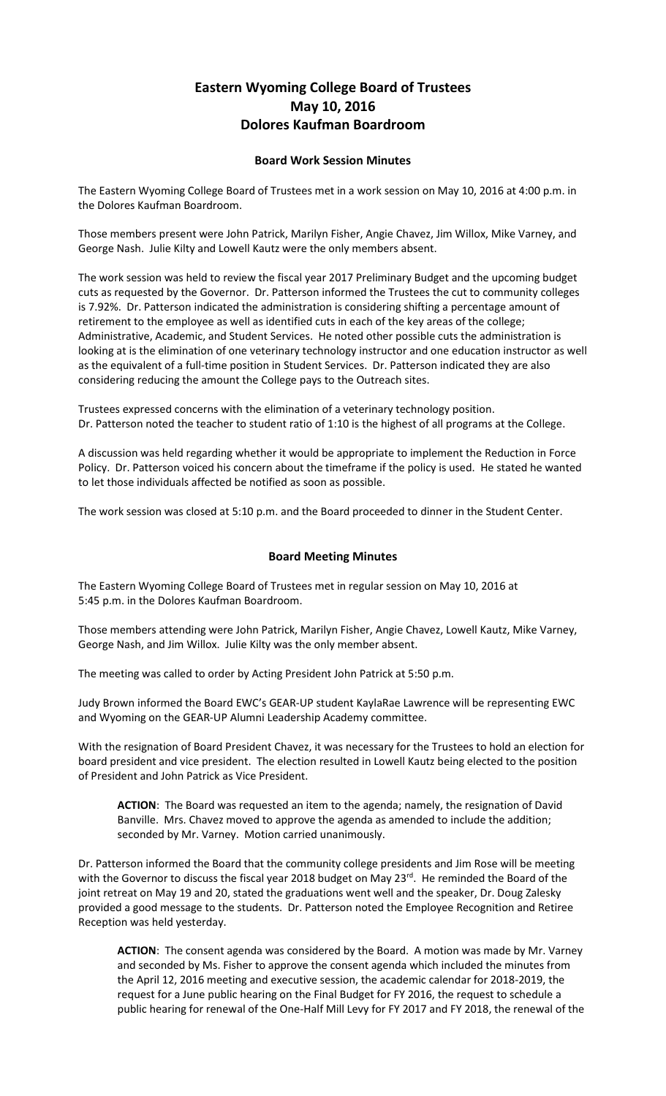## **Eastern Wyoming College Board of Trustees May 10, 2016 Dolores Kaufman Boardroom**

## **Board Work Session Minutes**

The Eastern Wyoming College Board of Trustees met in a work session on May 10, 2016 at 4:00 p.m. in the Dolores Kaufman Boardroom.

Those members present were John Patrick, Marilyn Fisher, Angie Chavez, Jim Willox, Mike Varney, and George Nash. Julie Kilty and Lowell Kautz were the only members absent.

The work session was held to review the fiscal year 2017 Preliminary Budget and the upcoming budget cuts as requested by the Governor. Dr. Patterson informed the Trustees the cut to community colleges is 7.92%. Dr. Patterson indicated the administration is considering shifting a percentage amount of retirement to the employee as well as identified cuts in each of the key areas of the college; Administrative, Academic, and Student Services. He noted other possible cuts the administration is looking at is the elimination of one veterinary technology instructor and one education instructor as well as the equivalent of a full-time position in Student Services. Dr. Patterson indicated they are also considering reducing the amount the College pays to the Outreach sites.

Trustees expressed concerns with the elimination of a veterinary technology position. Dr. Patterson noted the teacher to student ratio of 1:10 is the highest of all programs at the College.

A discussion was held regarding whether it would be appropriate to implement the Reduction in Force Policy. Dr. Patterson voiced his concern about the timeframe if the policy is used. He stated he wanted to let those individuals affected be notified as soon as possible.

The work session was closed at 5:10 p.m. and the Board proceeded to dinner in the Student Center.

## **Board Meeting Minutes**

The Eastern Wyoming College Board of Trustees met in regular session on May 10, 2016 at 5:45 p.m. in the Dolores Kaufman Boardroom.

Those members attending were John Patrick, Marilyn Fisher, Angie Chavez, Lowell Kautz, Mike Varney, George Nash, and Jim Willox. Julie Kilty was the only member absent.

The meeting was called to order by Acting President John Patrick at 5:50 p.m.

Judy Brown informed the Board EWC's GEAR-UP student KaylaRae Lawrence will be representing EWC and Wyoming on the GEAR-UP Alumni Leadership Academy committee.

With the resignation of Board President Chavez, it was necessary for the Trustees to hold an election for board president and vice president. The election resulted in Lowell Kautz being elected to the position of President and John Patrick as Vice President.

**ACTION**: The Board was requested an item to the agenda; namely, the resignation of David Banville. Mrs. Chavez moved to approve the agenda as amended to include the addition; seconded by Mr. Varney. Motion carried unanimously.

Dr. Patterson informed the Board that the community college presidents and Jim Rose will be meeting with the Governor to discuss the fiscal year 2018 budget on May 23<sup>rd</sup>. He reminded the Board of the joint retreat on May 19 and 20, stated the graduations went well and the speaker, Dr. Doug Zalesky provided a good message to the students. Dr. Patterson noted the Employee Recognition and Retiree Reception was held yesterday.

**ACTION**: The consent agenda was considered by the Board. A motion was made by Mr. Varney and seconded by Ms. Fisher to approve the consent agenda which included the minutes from the April 12, 2016 meeting and executive session, the academic calendar for 2018-2019, the request for a June public hearing on the Final Budget for FY 2016, the request to schedule a public hearing for renewal of the One-Half Mill Levy for FY 2017 and FY 2018, the renewal of the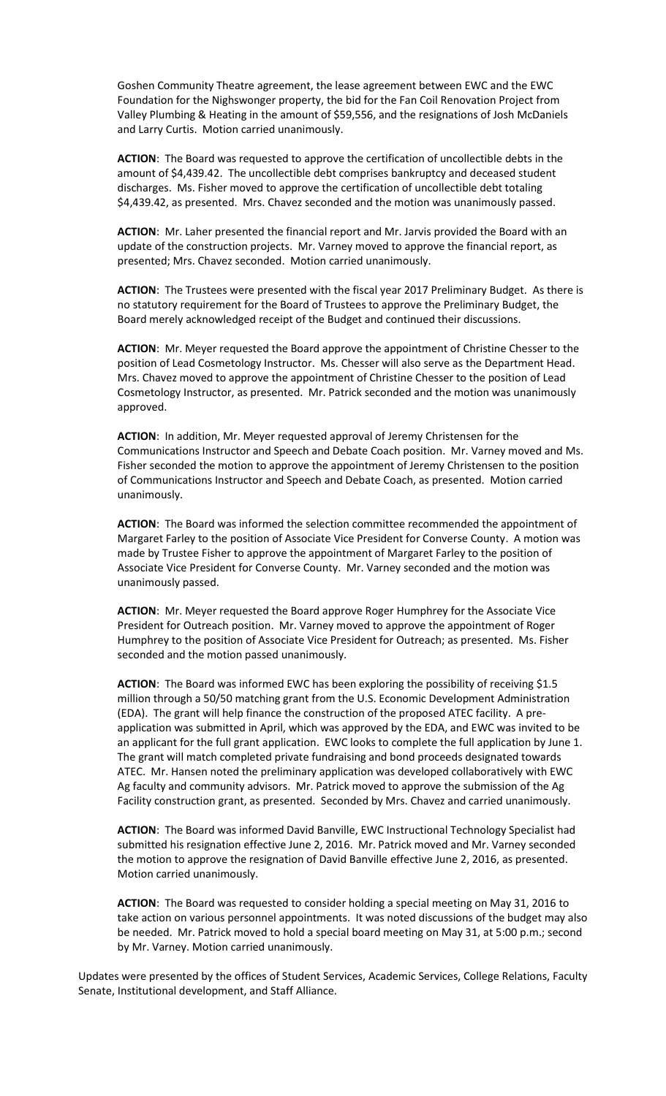Goshen Community Theatre agreement, the lease agreement between EWC and the EWC Foundation for the Nighswonger property, the bid for the Fan Coil Renovation Project from Valley Plumbing & Heating in the amount of \$59,556, and the resignations of Josh McDaniels and Larry Curtis. Motion carried unanimously.

**ACTION**: The Board was requested to approve the certification of uncollectible debts in the amount of \$4,439.42. The uncollectible debt comprises bankruptcy and deceased student discharges. Ms. Fisher moved to approve the certification of uncollectible debt totaling \$4,439.42, as presented. Mrs. Chavez seconded and the motion was unanimously passed.

**ACTION**: Mr. Laher presented the financial report and Mr. Jarvis provided the Board with an update of the construction projects. Mr. Varney moved to approve the financial report, as presented; Mrs. Chavez seconded. Motion carried unanimously.

**ACTION**: The Trustees were presented with the fiscal year 2017 Preliminary Budget. As there is no statutory requirement for the Board of Trustees to approve the Preliminary Budget, the Board merely acknowledged receipt of the Budget and continued their discussions.

**ACTION**: Mr. Meyer requested the Board approve the appointment of Christine Chesser to the position of Lead Cosmetology Instructor. Ms. Chesser will also serve as the Department Head. Mrs. Chavez moved to approve the appointment of Christine Chesser to the position of Lead Cosmetology Instructor, as presented. Mr. Patrick seconded and the motion was unanimously approved.

**ACTION**: In addition, Mr. Meyer requested approval of Jeremy Christensen for the Communications Instructor and Speech and Debate Coach position. Mr. Varney moved and Ms. Fisher seconded the motion to approve the appointment of Jeremy Christensen to the position of Communications Instructor and Speech and Debate Coach, as presented. Motion carried unanimously.

**ACTION**: The Board was informed the selection committee recommended the appointment of Margaret Farley to the position of Associate Vice President for Converse County. A motion was made by Trustee Fisher to approve the appointment of Margaret Farley to the position of Associate Vice President for Converse County. Mr. Varney seconded and the motion was unanimously passed.

**ACTION**: Mr. Meyer requested the Board approve Roger Humphrey for the Associate Vice President for Outreach position. Mr. Varney moved to approve the appointment of Roger Humphrey to the position of Associate Vice President for Outreach; as presented. Ms. Fisher seconded and the motion passed unanimously.

ACTION: The Board was informed EWC has been exploring the possibility of receiving \$1.5 million through a 50/50 matching grant from the U.S. Economic Development Administration (EDA). The grant will help finance the construction of the proposed ATEC facility. A preapplication was submitted in April, which was approved by the EDA, and EWC was invited to be an applicant for the full grant application. EWC looks to complete the full application by June 1. The grant will match completed private fundraising and bond proceeds designated towards ATEC. Mr. Hansen noted the preliminary application was developed collaboratively with EWC Ag faculty and community advisors. Mr. Patrick moved to approve the submission of the Ag Facility construction grant, as presented. Seconded by Mrs. Chavez and carried unanimously.

**ACTION**: The Board was informed David Banville, EWC Instructional Technology Specialist had submitted his resignation effective June 2, 2016. Mr. Patrick moved and Mr. Varney seconded the motion to approve the resignation of David Banville effective June 2, 2016, as presented. Motion carried unanimously.

**ACTION**: The Board was requested to consider holding a special meeting on May 31, 2016 to take action on various personnel appointments. It was noted discussions of the budget may also be needed. Mr. Patrick moved to hold a special board meeting on May 31, at 5:00 p.m.; second by Mr. Varney. Motion carried unanimously.

Updates were presented by the offices of Student Services, Academic Services, College Relations, Faculty Senate, Institutional development, and Staff Alliance.